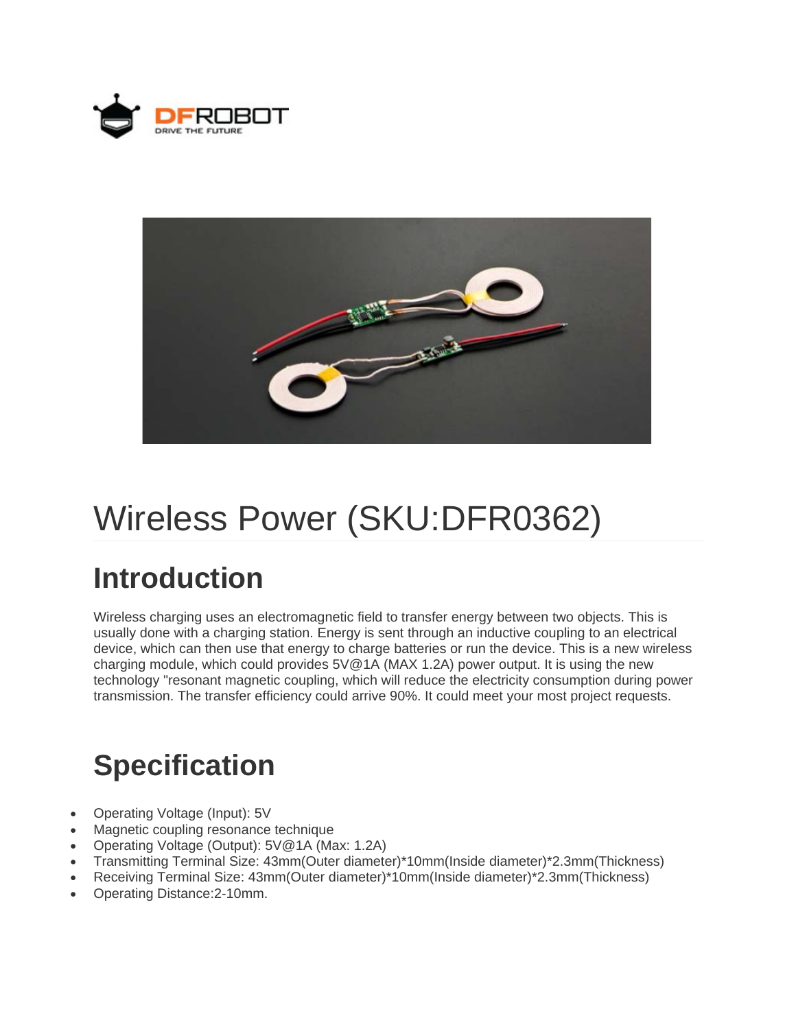



# Wireless Power (SKU:DFR0362)

## **Introduction**

Wireless charging uses an electromagnetic field to transfer energy between two objects. This is usually done with a charging station. Energy is sent through an inductive coupling to an electrical device, which can then use that energy to charge batteries or run the device. This is a new wireless charging module, which could provides 5V@1A (MAX 1.2A) power output. It is using the new technology "resonant magnetic coupling, which will reduce the electricity consumption during power transmission. The transfer efficiency could arrive 90%. It could meet your most project requests.

## **Specification**

- Operating Voltage (Input): 5V
- Magnetic coupling resonance technique
- Operating Voltage (Output): 5V@1A (Max: 1.2A)
- Transmitting Terminal Size: 43mm(Outer diameter)\*10mm(Inside diameter)\*2.3mm(Thickness)
- Receiving Terminal Size: 43mm(Outer diameter)\*10mm(Inside diameter)\*2.3mm(Thickness)
- Operating Distance:2-10mm.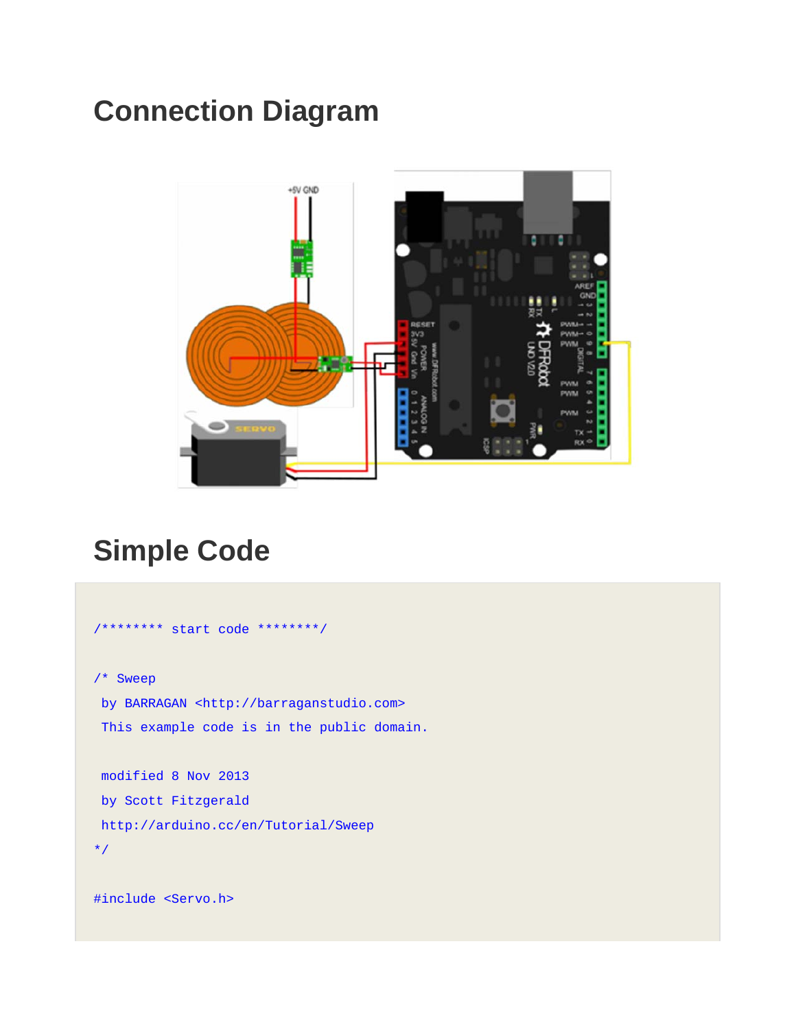## **Connection Diagram**



#### **Simple Code**

```
/******** start code ********/ 
/* Sweep 
 by BARRAGAN <http://barraganstudio.com> 
 This example code is in the public domain. 
 modified 8 Nov 2013 
 by Scott Fitzgerald 
 http://arduino.cc/en/Tutorial/Sweep 
*/ 
#include <Servo.h>
```